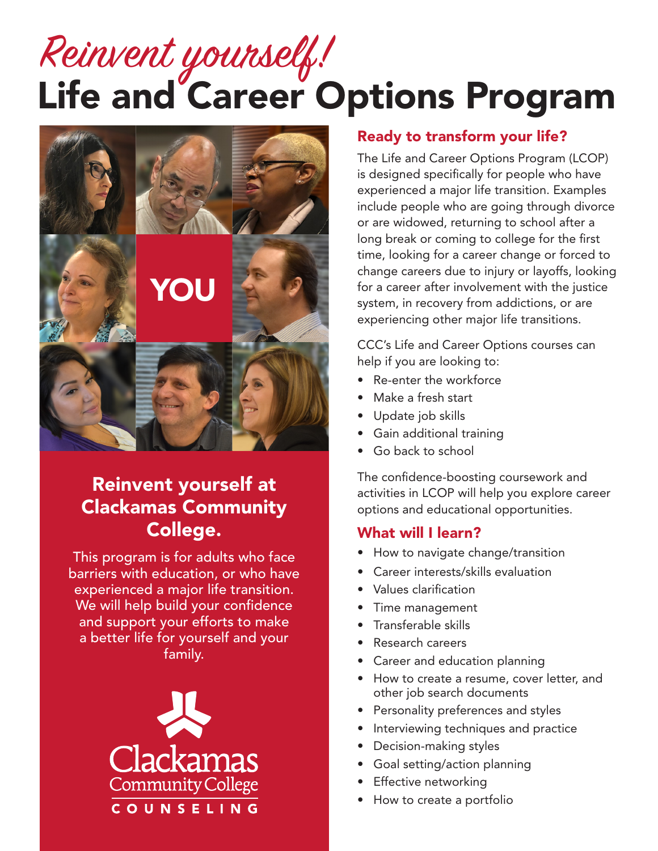# Life and Career Options Program Reinvent yourself!



### Reinvent yourself at Clackamas Community College.

This program is for adults who face barriers with education, or who have experienced a major life transition. We will help build your confidence and support your efforts to make a better life for yourself and your family.



#### Ready to transform your life?

The Life and Career Options Program (LCOP) is designed specifically for people who have experienced a major life transition. Examples include people who are going through divorce or are widowed, returning to school after a long break or coming to college for the first time, looking for a career change or forced to change careers due to injury or layoffs, looking for a career after involvement with the justice system, in recovery from addictions, or are experiencing other major life transitions.

CCC's Life and Career Options courses can help if you are looking to:

- Re-enter the workforce
- Make a fresh start
- Update job skills
- Gain additional training
- Go back to school

The confidence-boosting coursework and activities in LCOP will help you explore career options and educational opportunities.

#### What will I learn?

- How to navigate change/transition
- Career interests/skills evaluation
- Values clarification
- Time management
- Transferable skills
- Research careers
- Career and education planning
- How to create a resume, cover letter, and other job search documents
- Personality preferences and styles
- Interviewing techniques and practice
- Decision-making styles
- Goal setting/action planning
- Effective networking
- How to create a portfolio